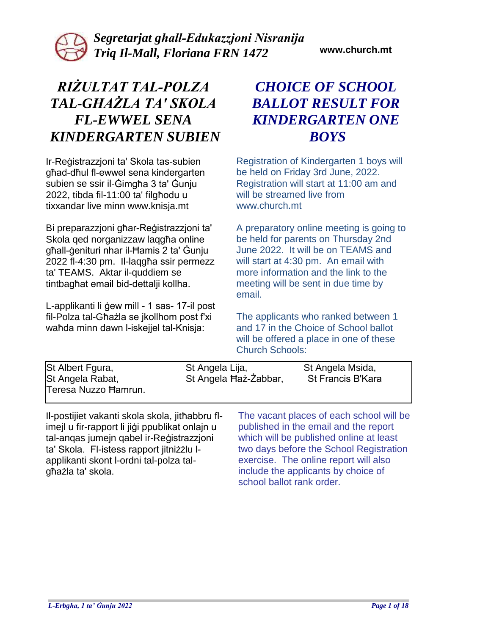# *RIŻULTAT TAL-POLZA TAL-GĦAŻLA TA' SKOLA FL-EWWEL SENA KINDERGARTEN SUBIEN*

Ir-Reġistrazzjoni ta' Skola tas-subien għad-dħul fl-ewwel sena kindergarten subien se ssir il-Ġimgħa 3 ta' Ġunju 2022, tibda fil-11:00 ta' filgħodu u tixxandar live minn www.knisja.mt

Bi preparazzjoni għar-Reġistrazzjoni ta' Skola qed norganizzaw laqgħa online għall-ġenituri nhar il-Ħamis 2 ta' Ġunju 2022 fl-4:30 pm. Il-laqgħa ssir permezz ta' TEAMS. Aktar il-quddiem se tintbagħat email bid-dettalji kollha.

L-applikanti li ġew mill - 1 sas- 17-il post fil-Polza tal-Għażla se jkollhom post f'xi waħda minn dawn l-iskejjel tal-Knisja:

## *CHOICE OF SCHOOL BALLOT RESULT FOR KINDERGARTEN ONE BOYS*

Registration of Kindergarten 1 boys will be held on Friday 3rd June, 2022. Registration will start at 11:00 am and will be streamed live from www.church.mt

A preparatory online meeting is going to be held for parents on Thursday 2nd June 2022. It will be on TEAMS and will start at 4:30 pm. An email with more information and the link to the meeting will be sent in due time by email.

The applicants who ranked between 1 and 17 in the Choice of School ballot will be offered a place in one of these Church Schools:

| St Albert Fgura,<br>St Angela Rabat,<br>Teresa Nuzzo Hamrun.                                                                  | St Angela Lija, | St Angela Haż-Żabbar, | St Angela Msida,<br><b>St Francis B'Kara</b>                                                                      |
|-------------------------------------------------------------------------------------------------------------------------------|-----------------|-----------------------|-------------------------------------------------------------------------------------------------------------------|
| II-postijiet vakanti skola skola, jithabbru fl-<br>the collect film a grand contribution of a collection of the collection of |                 |                       | The vacant places of each school will be<br>المتحسن والمسالة المستحر الجمعين والمسالة المتار والماليات والمسالحات |

imejl u fir-rapport li jiġi ppublikat onlajn u tal-anqas jumejn qabel ir-Reġistrazzjoni ta' Skola. Fl-istess rapport jitniżżlu lapplikanti skont l-ordni tal-polza talgħażla ta' skola.

published in the email and the report which will be published online at least two days before the School Registration exercise. The online report will also include the applicants by choice of school ballot rank order.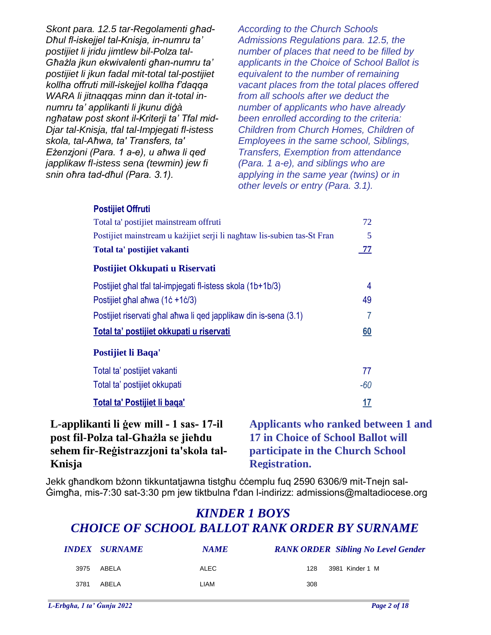*Skont para. 12.5 tar-Regolamenti għad-Dħul fl-iskejjel tal-Knisja, in-numru ta' postijiet li jridu jimtlew bil-Polza tal-Għażla jkun ekwivalenti għan-numru ta' postijiet li jkun fadal mit-total tal-postijiet kollha offruti mill-iskejjel kollha f'daqqa WARA li jitnaqqas minn dan it-total innumru ta' applikanti li jkunu diġà ngħataw post skont il-Kriterji ta' Tfal mid-Djar tal-Knisja, tfal tal-Impjegati fl-istess skola, tal-Aħwa, ta' Transfers, ta' Eżenzjoni (Para. 1 a-e), u aħwa li qed japplikaw fl-istess sena (tewmin) jew fi snin oħra tad-dħul (Para. 3.1).* 

**Postijiet Offruti**

*According to the Church Schools Admissions Regulations para. 12.5, the number of places that need to be filled by applicants in the Choice of School Ballot is equivalent to the number of remaining vacant places from the total places offered from all schools after we deduct the number of applicants who have already been enrolled according to the criteria: Children from Church Homes, Children of Employees in the same school, Siblings, Transfers, Exemption from attendance (Para. 1 a-e), and siblings who are applying in the same year (twins) or in other levels or entry (Para. 3.1).* 

| Total ta' postijiet mainstream offruti<br>Postijiet mainstream u kažijiet serji li naghtaw lis-subien tas-St Fran<br>Total ta' postijiet vakanti<br>Postijiet Okkupati u Riservati<br>Postijiet ghal tfal tal-impjegati fl-istess skola (1b+1b/3)<br>Postijiet ghal ahwa $(1c + 1c/3)$<br>Postijiet riservati ghal ahwa li qed japplikaw din is-sena (3.1)<br>Total ta' postijiet okkupati u riservati<br>Postijiet li Baqa'<br>Total ta' postijiet vakanti | 72        |
|-------------------------------------------------------------------------------------------------------------------------------------------------------------------------------------------------------------------------------------------------------------------------------------------------------------------------------------------------------------------------------------------------------------------------------------------------------------|-----------|
|                                                                                                                                                                                                                                                                                                                                                                                                                                                             |           |
|                                                                                                                                                                                                                                                                                                                                                                                                                                                             | 5         |
|                                                                                                                                                                                                                                                                                                                                                                                                                                                             | 77        |
|                                                                                                                                                                                                                                                                                                                                                                                                                                                             |           |
|                                                                                                                                                                                                                                                                                                                                                                                                                                                             | 4         |
|                                                                                                                                                                                                                                                                                                                                                                                                                                                             | 49        |
|                                                                                                                                                                                                                                                                                                                                                                                                                                                             |           |
|                                                                                                                                                                                                                                                                                                                                                                                                                                                             | 60        |
|                                                                                                                                                                                                                                                                                                                                                                                                                                                             |           |
|                                                                                                                                                                                                                                                                                                                                                                                                                                                             | 77        |
| Total ta' postijiet okkupati                                                                                                                                                                                                                                                                                                                                                                                                                                | $-60$     |
| Total ta' Postijiet li baga'                                                                                                                                                                                                                                                                                                                                                                                                                                | <u>17</u> |

#### **L-applikanti li ġew mill - 1 sas- 17-il post fil-Polza tal-Għażla se jieħdu sehem fir-Reġistrazzjoni ta'skola tal-Knisja**

**Applicants who ranked between 1 and 17 in Choice of School Ballot will participate in the Church School Registration.**

Jekk għandkom bżonn tikkuntatjawna tistgħu ċċemplu fuq 2590 6306/9 mit-Tnejn sal-Ġimgħa, mis-7:30 sat-3:30 pm jew tiktbulna f'dan l-indirizz: admissions@maltadiocese.org

|      | <i><b>INDEX SURNAME</b></i> | <b>NAME</b> | <b>RANK ORDER</b> Sibling No Level Gender |
|------|-----------------------------|-------------|-------------------------------------------|
| 3975 | ABELA                       | <b>ALEC</b> | 128<br>3981 Kinder 1 M                    |
| 3781 | ABELA                       | LIAM        | 308                                       |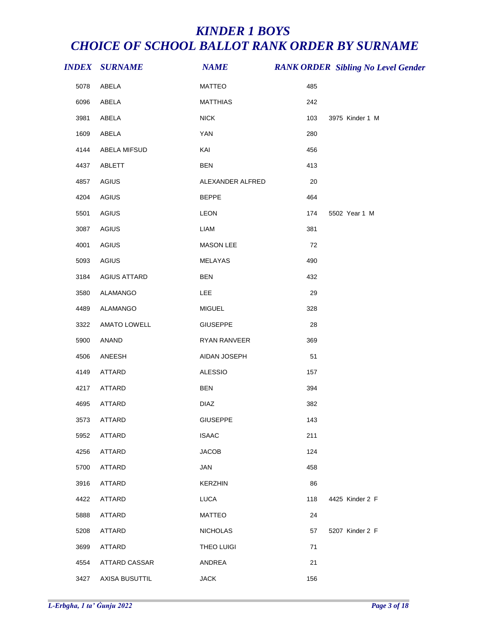|      | <b>INDEX SURNAME</b> | <b>NAME</b>      |     | <b>RANK ORDER Sibling No Level Gender</b> |
|------|----------------------|------------------|-----|-------------------------------------------|
| 5078 | ABELA                | <b>MATTEO</b>    | 485 |                                           |
| 6096 | ABELA                | <b>MATTHIAS</b>  | 242 |                                           |
| 3981 | ABELA                | <b>NICK</b>      | 103 | 3975 Kinder 1 M                           |
| 1609 | ABELA                | <b>YAN</b>       | 280 |                                           |
| 4144 | ABELA MIFSUD         | KAI              | 456 |                                           |
| 4437 | ABLETT               | <b>BEN</b>       | 413 |                                           |
| 4857 | <b>AGIUS</b>         | ALEXANDER ALFRED | 20  |                                           |
| 4204 | AGIUS                | <b>BEPPE</b>     | 464 |                                           |
| 5501 | AGIUS                | LEON             | 174 | 5502 Year 1 M                             |
| 3087 | <b>AGIUS</b>         | <b>LIAM</b>      | 381 |                                           |
| 4001 | <b>AGIUS</b>         | MASON LEE        | 72  |                                           |
| 5093 | <b>AGIUS</b>         | MELAYAS          | 490 |                                           |
| 3184 | <b>AGIUS ATTARD</b>  | <b>BEN</b>       | 432 |                                           |
| 3580 | ALAMANGO             | LEE              | 29  |                                           |
| 4489 | ALAMANGO             | <b>MIGUEL</b>    | 328 |                                           |
| 3322 | AMATO LOWELL         | <b>GIUSEPPE</b>  | 28  |                                           |
| 5900 | ANAND                | RYAN RANVEER     | 369 |                                           |
| 4506 | ANEESH               | AIDAN JOSEPH     | 51  |                                           |
| 4149 | <b>ATTARD</b>        | <b>ALESSIO</b>   | 157 |                                           |
| 4217 | ATTARD               | <b>BEN</b>       | 394 |                                           |
| 4695 | ATTARD               | <b>DIAZ</b>      | 382 |                                           |
| 3573 | ATTARD               | <b>GIUSEPPE</b>  | 143 |                                           |
| 5952 | ATTARD               | <b>ISAAC</b>     | 211 |                                           |
| 4256 | ATTARD               | <b>JACOB</b>     | 124 |                                           |
| 5700 | ATTARD               | JAN              | 458 |                                           |
| 3916 | ATTARD               | <b>KERZHIN</b>   | 86  |                                           |
| 4422 | ATTARD               | <b>LUCA</b>      | 118 | 4425 Kinder 2 F                           |
| 5888 | ATTARD               | <b>MATTEO</b>    | 24  |                                           |
| 5208 | ATTARD               | <b>NICHOLAS</b>  | 57  | 5207 Kinder 2 F                           |
| 3699 | ATTARD               | THEO LUIGI       | 71  |                                           |
| 4554 | ATTARD CASSAR        | ANDREA           | 21  |                                           |
| 3427 | AXISA BUSUTTIL       | <b>JACK</b>      | 156 |                                           |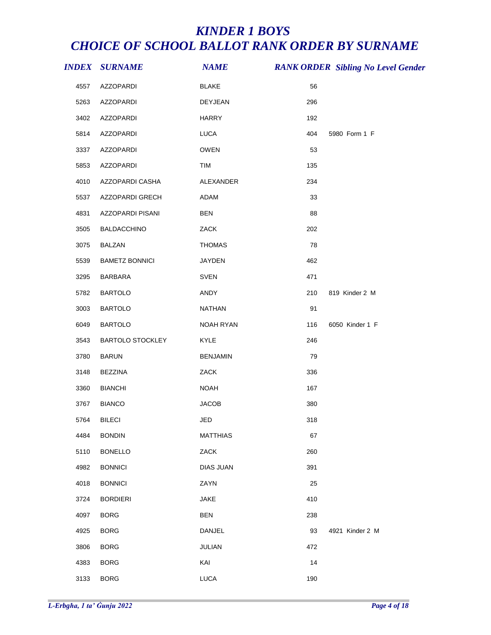|      | <b>INDEX SURNAME</b>    | <b>NAME</b>      |     | <b>RANK ORDER Sibling No Level Gender</b> |
|------|-------------------------|------------------|-----|-------------------------------------------|
| 4557 | AZZOPARDI               | <b>BLAKE</b>     | 56  |                                           |
| 5263 | AZZOPARDI               | <b>DEYJEAN</b>   | 296 |                                           |
| 3402 | AZZOPARDI               | <b>HARRY</b>     | 192 |                                           |
| 5814 | AZZOPARDI               | LUCA             | 404 | 5980 Form 1 F                             |
| 3337 | <b>AZZOPARDI</b>        | OWEN             | 53  |                                           |
| 5853 | AZZOPARDI               | TIM              | 135 |                                           |
| 4010 | AZZOPARDI CASHA         | ALEXANDER        | 234 |                                           |
| 5537 | AZZOPARDI GRECH         | <b>ADAM</b>      | 33  |                                           |
| 4831 | AZZOPARDI PISANI        | <b>BEN</b>       | 88  |                                           |
| 3505 | <b>BALDACCHINO</b>      | ZACK             | 202 |                                           |
| 3075 | <b>BALZAN</b>           | <b>THOMAS</b>    | 78  |                                           |
| 5539 | <b>BAMETZ BONNICI</b>   | JAYDEN           | 462 |                                           |
| 3295 | BARBARA                 | <b>SVEN</b>      | 471 |                                           |
| 5782 | <b>BARTOLO</b>          | ANDY             | 210 | 819 Kinder 2 M                            |
| 3003 | <b>BARTOLO</b>          | <b>NATHAN</b>    | 91  |                                           |
| 6049 | <b>BARTOLO</b>          | NOAH RYAN        | 116 | 6050 Kinder 1 F                           |
| 3543 | <b>BARTOLO STOCKLEY</b> | <b>KYLE</b>      | 246 |                                           |
| 3780 | <b>BARUN</b>            | <b>BENJAMIN</b>  | 79  |                                           |
| 3148 | <b>BEZZINA</b>          | ZACK             | 336 |                                           |
| 3360 | <b>BIANCHI</b>          | <b>NOAH</b>      | 167 |                                           |
| 3767 | <b>BIANCO</b>           | <b>JACOB</b>     | 380 |                                           |
| 5764 | <b>BILECI</b>           | JED              | 318 |                                           |
| 4484 | <b>BONDIN</b>           | <b>MATTHIAS</b>  | 67  |                                           |
| 5110 | <b>BONELLO</b>          | ZACK             | 260 |                                           |
| 4982 | <b>BONNICI</b>          | <b>DIAS JUAN</b> | 391 |                                           |
| 4018 | <b>BONNICI</b>          | ZAYN             | 25  |                                           |
| 3724 | <b>BORDIERI</b>         | <b>JAKE</b>      | 410 |                                           |
| 4097 | <b>BORG</b>             | <b>BEN</b>       | 238 |                                           |
| 4925 | <b>BORG</b>             | DANJEL           | 93  | 4921 Kinder 2 M                           |
| 3806 | <b>BORG</b>             | JULIAN           | 472 |                                           |
| 4383 | <b>BORG</b>             | KAI              | 14  |                                           |
| 3133 | <b>BORG</b>             | <b>LUCA</b>      | 190 |                                           |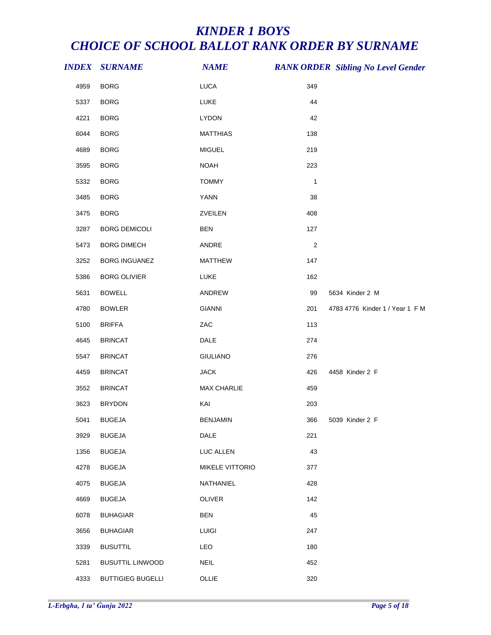|      | <b>INDEX SURNAME</b>     | <b>NAME</b>            |                | <b>RANK ORDER Sibling No Level Gender</b> |
|------|--------------------------|------------------------|----------------|-------------------------------------------|
| 4959 | <b>BORG</b>              | <b>LUCA</b>            | 349            |                                           |
| 5337 | <b>BORG</b>              | LUKE                   | 44             |                                           |
| 4221 | <b>BORG</b>              | <b>LYDON</b>           | 42             |                                           |
| 6044 | <b>BORG</b>              | <b>MATTHIAS</b>        | 138            |                                           |
| 4689 | <b>BORG</b>              | <b>MIGUEL</b>          | 219            |                                           |
| 3595 | <b>BORG</b>              | <b>NOAH</b>            | 223            |                                           |
| 5332 | <b>BORG</b>              | <b>TOMMY</b>           | 1              |                                           |
| 3485 | <b>BORG</b>              | <b>YANN</b>            | 38             |                                           |
| 3475 | <b>BORG</b>              | ZVEILEN                | 408            |                                           |
| 3287 | <b>BORG DEMICOLI</b>     | <b>BEN</b>             | 127            |                                           |
| 5473 | <b>BORG DIMECH</b>       | ANDRE                  | $\overline{2}$ |                                           |
| 3252 | <b>BORG INGUANEZ</b>     | <b>MATTHEW</b>         | 147            |                                           |
| 5386 | <b>BORG OLIVIER</b>      | LUKE                   | 162            |                                           |
| 5631 | <b>BOWELL</b>            | ANDREW                 | 99             | 5634 Kinder 2 M                           |
| 4780 | <b>BOWLER</b>            | <b>GIANNI</b>          | 201            | 4783 4776 Kinder 1 / Year 1 F M           |
| 5100 | <b>BRIFFA</b>            | ZAC                    | 113            |                                           |
| 4645 | <b>BRINCAT</b>           | DALE                   | 274            |                                           |
| 5547 | <b>BRINCAT</b>           | <b>GIULIANO</b>        | 276            |                                           |
| 4459 | <b>BRINCAT</b>           | <b>JACK</b>            | 426            | 4458 Kinder 2 F                           |
| 3552 | <b>BRINCAT</b>           | <b>MAX CHARLIE</b>     | 459            |                                           |
| 3623 | <b>BRYDON</b>            | KAI                    | 203            |                                           |
| 5041 | <b>BUGEJA</b>            | <b>BENJAMIN</b>        | 366            | 5039 Kinder 2 F                           |
| 3929 | <b>BUGEJA</b>            | DALE                   | 221            |                                           |
| 1356 | <b>BUGEJA</b>            | LUC ALLEN              | 43             |                                           |
| 4278 | <b>BUGEJA</b>            | <b>MIKELE VITTORIO</b> | 377            |                                           |
| 4075 | <b>BUGEJA</b>            | NATHANIEL              | 428            |                                           |
| 4669 | <b>BUGEJA</b>            | OLIVER                 | 142            |                                           |
| 6078 | <b>BUHAGIAR</b>          | <b>BEN</b>             | 45             |                                           |
| 3656 | <b>BUHAGIAR</b>          | <b>LUIGI</b>           | 247            |                                           |
| 3339 | <b>BUSUTTIL</b>          | LEO                    | 180            |                                           |
| 5281 | <b>BUSUTTIL LINWOOD</b>  | <b>NEIL</b>            | 452            |                                           |
| 4333 | <b>BUTTIGIEG BUGELLI</b> | OLLIE                  | 320            |                                           |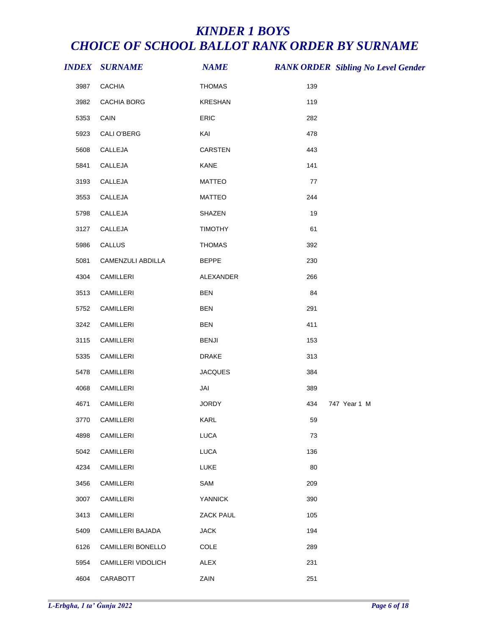|      | <b>INDEX SURNAME</b> | <b>NAME</b>    |     | <b>RANK ORDER Sibling No Level Gender</b> |
|------|----------------------|----------------|-----|-------------------------------------------|
| 3987 | <b>CACHIA</b>        | <b>THOMAS</b>  | 139 |                                           |
| 3982 | CACHIA BORG          | <b>KRESHAN</b> | 119 |                                           |
| 5353 | CAIN                 | ERIC           | 282 |                                           |
| 5923 | CALI O'BERG          | KAI            | 478 |                                           |
| 5608 | CALLEJA              | CARSTEN        | 443 |                                           |
| 5841 | CALLEJA              | KANE           | 141 |                                           |
| 3193 | CALLEJA              | <b>MATTEO</b>  | 77  |                                           |
| 3553 | CALLEJA              | <b>MATTEO</b>  | 244 |                                           |
| 5798 | CALLEJA              | SHAZEN         | 19  |                                           |
| 3127 | CALLEJA              | <b>TIMOTHY</b> | 61  |                                           |
| 5986 | CALLUS               | <b>THOMAS</b>  | 392 |                                           |
| 5081 | CAMENZULI ABDILLA    | <b>BEPPE</b>   | 230 |                                           |
| 4304 | CAMILLERI            | ALEXANDER      | 266 |                                           |
| 3513 | CAMILLERI            | <b>BEN</b>     | 84  |                                           |
| 5752 | CAMILLERI            | <b>BEN</b>     | 291 |                                           |
| 3242 | CAMILLERI            | <b>BEN</b>     | 411 |                                           |
| 3115 | CAMILLERI            | <b>BENJI</b>   | 153 |                                           |
| 5335 | CAMILLERI            | <b>DRAKE</b>   | 313 |                                           |
| 5478 | CAMILLERI            | <b>JACQUES</b> | 384 |                                           |
| 4068 | CAMILLERI            | JAI            | 389 |                                           |
| 4671 | CAMILLERI            | <b>JORDY</b>   | 434 | 747 Year 1 M                              |
| 3770 | CAMILLERI            | <b>KARL</b>    | 59  |                                           |
| 4898 | CAMILLERI            | <b>LUCA</b>    | 73  |                                           |
| 5042 | CAMILLERI            | <b>LUCA</b>    | 136 |                                           |
| 4234 | CAMILLERI            | <b>LUKE</b>    | 80  |                                           |
| 3456 | CAMILLERI            | SAM            | 209 |                                           |
| 3007 | CAMILLERI            | YANNICK        | 390 |                                           |
| 3413 | CAMILLERI            | ZACK PAUL      | 105 |                                           |
| 5409 | CAMILLERI BAJADA     | <b>JACK</b>    | 194 |                                           |
| 6126 | CAMILLERI BONELLO    | COLE           | 289 |                                           |
| 5954 | CAMILLERI VIDOLICH   | ALEX           | 231 |                                           |
| 4604 | CARABOTT             | ZAIN           | 251 |                                           |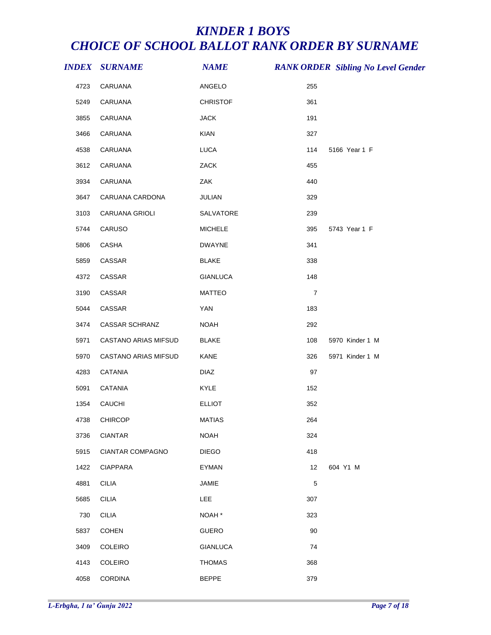|      | <i><b>INDEX SURNAME</b></i> | <b>NAME</b>       |                   | <b>RANK ORDER Sibling No Level Gender</b> |
|------|-----------------------------|-------------------|-------------------|-------------------------------------------|
| 4723 | CARUANA                     | ANGELO            | 255               |                                           |
| 5249 | CARUANA                     | <b>CHRISTOF</b>   | 361               |                                           |
| 3855 | CARUANA                     | <b>JACK</b>       | 191               |                                           |
| 3466 | CARUANA                     | KIAN              | 327               |                                           |
| 4538 | CARUANA                     | LUCA              | 114               | 5166 Year 1 F                             |
| 3612 | CARUANA                     | ZACK              | 455               |                                           |
| 3934 | CARUANA                     | ZAK               | 440               |                                           |
| 3647 | CARUANA CARDONA             | JULIAN            | 329               |                                           |
| 3103 | CARUANA GRIOLI              | SALVATORE         | 239               |                                           |
| 5744 | CARUSO                      | <b>MICHELE</b>    | 395               | 5743 Year 1 F                             |
| 5806 | CASHA                       | <b>DWAYNE</b>     | 341               |                                           |
| 5859 | CASSAR                      | <b>BLAKE</b>      | 338               |                                           |
| 4372 | CASSAR                      | <b>GIANLUCA</b>   | 148               |                                           |
| 3190 | CASSAR                      | <b>MATTEO</b>     | $\boldsymbol{7}$  |                                           |
| 5044 | CASSAR                      | YAN               | 183               |                                           |
| 3474 | CASSAR SCHRANZ              | <b>NOAH</b>       | 292               |                                           |
| 5971 | CASTANO ARIAS MIFSUD        | <b>BLAKE</b>      | 108               | 5970 Kinder 1 M                           |
| 5970 | CASTANO ARIAS MIFSUD        | KANE              | 326               | 5971 Kinder 1 M                           |
| 4283 | <b>CATANIA</b>              | <b>DIAZ</b>       | 97                |                                           |
| 5091 | <b>CATANIA</b>              | KYLE              | 152               |                                           |
| 1354 | CAUCHI                      | <b>ELLIOT</b>     | 352               |                                           |
|      | 4738 CHIRCOP                | <b>MATIAS</b>     | 264               |                                           |
| 3736 | <b>CIANTAR</b>              | <b>NOAH</b>       | 324               |                                           |
| 5915 | <b>CIANTAR COMPAGNO</b>     | <b>DIEGO</b>      | 418               |                                           |
| 1422 | <b>CIAPPARA</b>             | <b>EYMAN</b>      | $12 \overline{ }$ | 604 Y1 M                                  |
| 4881 | <b>CILIA</b>                | <b>JAMIE</b>      | $\mathbf 5$       |                                           |
| 5685 | <b>CILIA</b>                | LEE               | 307               |                                           |
| 730  | <b>CILIA</b>                | NOAH <sup>*</sup> | 323               |                                           |
| 5837 | <b>COHEN</b>                | <b>GUERO</b>      | 90                |                                           |
| 3409 | COLEIRO                     | <b>GIANLUCA</b>   | 74                |                                           |
| 4143 | COLEIRO                     | <b>THOMAS</b>     | 368               |                                           |
| 4058 | <b>CORDINA</b>              | <b>BEPPE</b>      | 379               |                                           |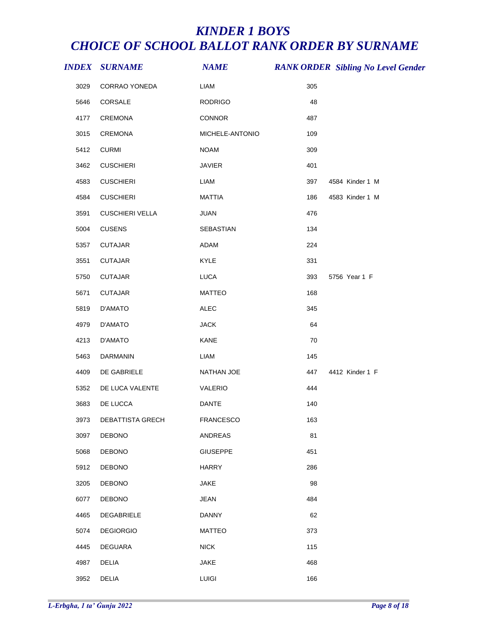|      | <i><b>INDEX SURNAME</b></i> | <b>NAME</b>      | <b>RANK ORDER Sibling No Level Gender</b> |  |
|------|-----------------------------|------------------|-------------------------------------------|--|
| 3029 | CORRAO YONEDA               | <b>LIAM</b>      | 305                                       |  |
| 5646 | CORSALE                     | <b>RODRIGO</b>   | 48                                        |  |
| 4177 | CREMONA                     | CONNOR           | 487                                       |  |
| 3015 | CREMONA                     | MICHELE-ANTONIO  | 109                                       |  |
| 5412 | <b>CURMI</b>                | <b>NOAM</b>      | 309                                       |  |
| 3462 | <b>CUSCHIERI</b>            | <b>JAVIER</b>    | 401                                       |  |
| 4583 | <b>CUSCHIERI</b>            | <b>LIAM</b>      | 4584 Kinder 1 M<br>397                    |  |
| 4584 | <b>CUSCHIERI</b>            | <b>MATTIA</b>    | 4583 Kinder 1 M<br>186                    |  |
| 3591 | <b>CUSCHIERI VELLA</b>      | JUAN             | 476                                       |  |
| 5004 | <b>CUSENS</b>               | SEBASTIAN        | 134                                       |  |
| 5357 | <b>CUTAJAR</b>              | ADAM             | 224                                       |  |
| 3551 | <b>CUTAJAR</b>              | KYLE             | 331                                       |  |
| 5750 | <b>CUTAJAR</b>              | <b>LUCA</b>      | 393<br>5756 Year 1 F                      |  |
| 5671 | <b>CUTAJAR</b>              | <b>MATTEO</b>    | 168                                       |  |
| 5819 | D'AMATO                     | ALEC             | 345                                       |  |
| 4979 | D'AMATO                     | <b>JACK</b>      | 64                                        |  |
| 4213 | D'AMATO                     | KANE             | 70                                        |  |
| 5463 | DARMANIN                    | LIAM             | 145                                       |  |
| 4409 | DE GABRIELE                 | NATHAN JOE       | 447<br>4412 Kinder 1 F                    |  |
| 5352 | DE LUCA VALENTE             | VALERIO          | 444                                       |  |
| 3683 | DE LUCCA                    | DANTE            | 140                                       |  |
| 3973 | DEBATTISTA GRECH            | <b>FRANCESCO</b> | 163                                       |  |
| 3097 | <b>DEBONO</b>               | <b>ANDREAS</b>   | 81                                        |  |
| 5068 | <b>DEBONO</b>               | <b>GIUSEPPE</b>  | 451                                       |  |
| 5912 | <b>DEBONO</b>               | <b>HARRY</b>     | 286                                       |  |
| 3205 | <b>DEBONO</b>               | <b>JAKE</b>      | 98                                        |  |
| 6077 | <b>DEBONO</b>               | <b>JEAN</b>      | 484                                       |  |
| 4465 | <b>DEGABRIELE</b>           | <b>DANNY</b>     | 62                                        |  |
| 5074 | <b>DEGIORGIO</b>            | <b>MATTEO</b>    | 373                                       |  |
| 4445 | <b>DEGUARA</b>              | <b>NICK</b>      | 115                                       |  |
| 4987 | <b>DELIA</b>                | <b>JAKE</b>      | 468                                       |  |
| 3952 | <b>DELIA</b>                | LUIGI            | 166                                       |  |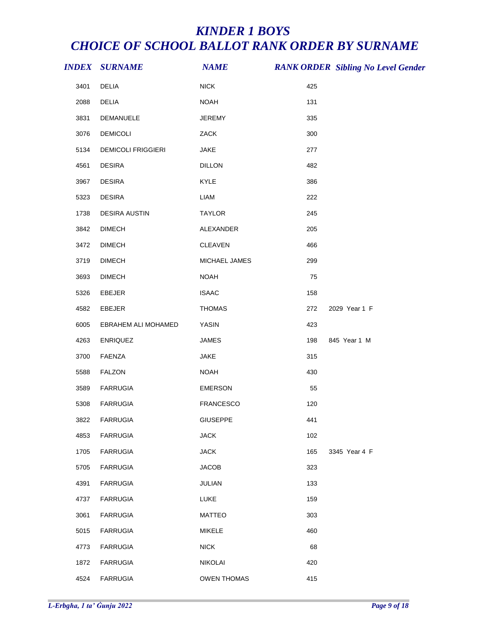|      | <b>INDEX SURNAME</b>      | <b>NAME</b>        |     | <b>RANK ORDER Sibling No Level Gender</b> |
|------|---------------------------|--------------------|-----|-------------------------------------------|
| 3401 | DELIA                     | <b>NICK</b>        | 425 |                                           |
| 2088 | <b>DELIA</b>              | <b>NOAH</b>        | 131 |                                           |
| 3831 | DEMANUELE                 | <b>JEREMY</b>      | 335 |                                           |
| 3076 | <b>DEMICOLI</b>           | ZACK               | 300 |                                           |
| 5134 | <b>DEMICOLI FRIGGIERI</b> | <b>JAKE</b>        | 277 |                                           |
| 4561 | <b>DESIRA</b>             | <b>DILLON</b>      | 482 |                                           |
| 3967 | <b>DESIRA</b>             | KYLE               | 386 |                                           |
| 5323 | <b>DESIRA</b>             | <b>LIAM</b>        | 222 |                                           |
| 1738 | <b>DESIRA AUSTIN</b>      | <b>TAYLOR</b>      | 245 |                                           |
| 3842 | <b>DIMECH</b>             | ALEXANDER          | 205 |                                           |
| 3472 | <b>DIMECH</b>             | CLEAVEN            | 466 |                                           |
| 3719 | <b>DIMECH</b>             | MICHAEL JAMES      | 299 |                                           |
| 3693 | <b>DIMECH</b>             | <b>NOAH</b>        | 75  |                                           |
| 5326 | EBEJER                    | <b>ISAAC</b>       | 158 |                                           |
| 4582 | EBEJER                    | <b>THOMAS</b>      | 272 | 2029 Year 1 F                             |
| 6005 | EBRAHEM ALI MOHAMED       | <b>YASIN</b>       | 423 |                                           |
| 4263 | <b>ENRIQUEZ</b>           | <b>JAMES</b>       | 198 | 845 Year 1 M                              |
| 3700 | FAENZA                    | JAKE               | 315 |                                           |
| 5588 | <b>FALZON</b>             | <b>NOAH</b>        | 430 |                                           |
| 3589 | <b>FARRUGIA</b>           | <b>EMERSON</b>     | 55  |                                           |
| 5308 | <b>FARRUGIA</b>           | <b>FRANCESCO</b>   | 120 |                                           |
| 3822 | <b>FARRUGIA</b>           | <b>GIUSEPPE</b>    | 441 |                                           |
| 4853 | <b>FARRUGIA</b>           | <b>JACK</b>        | 102 |                                           |
| 1705 | <b>FARRUGIA</b>           | <b>JACK</b>        | 165 | 3345 Year 4 F                             |
| 5705 | <b>FARRUGIA</b>           | <b>JACOB</b>       | 323 |                                           |
| 4391 | <b>FARRUGIA</b>           | JULIAN             | 133 |                                           |
| 4737 | <b>FARRUGIA</b>           | <b>LUKE</b>        | 159 |                                           |
| 3061 | <b>FARRUGIA</b>           | <b>MATTEO</b>      | 303 |                                           |
| 5015 | <b>FARRUGIA</b>           | <b>MIKELE</b>      | 460 |                                           |
| 4773 | <b>FARRUGIA</b>           | <b>NICK</b>        | 68  |                                           |
| 1872 | <b>FARRUGIA</b>           | <b>NIKOLAI</b>     | 420 |                                           |
| 4524 | <b>FARRUGIA</b>           | <b>OWEN THOMAS</b> | 415 |                                           |
|      |                           |                    |     |                                           |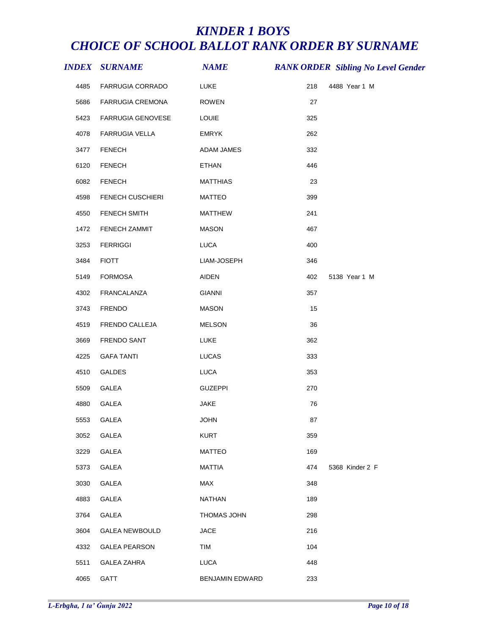|      | <i><b>INDEX SURNAME</b></i> | <b>NAME</b>     |     | <b>RANK ORDER Sibling No Level Gender</b> |
|------|-----------------------------|-----------------|-----|-------------------------------------------|
| 4485 | <b>FARRUGIA CORRADO</b>     | <b>LUKE</b>     | 218 | 4488 Year 1 M                             |
| 5686 | FARRUGIA CREMONA            | <b>ROWEN</b>    | 27  |                                           |
| 5423 | FARRUGIA GENOVESE           | LOUIE           | 325 |                                           |
| 4078 | FARRUGIA VELLA              | <b>EMRYK</b>    | 262 |                                           |
| 3477 | <b>FENECH</b>               | ADAM JAMES      | 332 |                                           |
| 6120 | <b>FENECH</b>               | ETHAN           | 446 |                                           |
| 6082 | <b>FENECH</b>               | MATTHIAS        | 23  |                                           |
| 4598 | FENECH CUSCHIERI            | <b>MATTEO</b>   | 399 |                                           |
| 4550 | FENECH SMITH                | <b>MATTHEW</b>  | 241 |                                           |
| 1472 | FENECH ZAMMIT               | <b>MASON</b>    | 467 |                                           |
| 3253 | <b>FERRIGGI</b>             | LUCA            | 400 |                                           |
| 3484 | <b>FIOTT</b>                | LIAM-JOSEPH     | 346 |                                           |
| 5149 | FORMOSA                     | AIDEN           | 402 | 5138 Year 1 M                             |
| 4302 | FRANCALANZA                 | <b>GIANNI</b>   | 357 |                                           |
| 3743 | FRENDO                      | MASON           | 15  |                                           |
| 4519 | FRENDO CALLEJA              | <b>MELSON</b>   | 36  |                                           |
| 3669 | FRENDO SANT                 | LUKE            | 362 |                                           |
| 4225 | <b>GAFA TANTI</b>           | LUCAS           | 333 |                                           |
| 4510 | GALDES                      | <b>LUCA</b>     | 353 |                                           |
| 5509 | GALEA                       | <b>GUZEPPI</b>  | 270 |                                           |
| 4880 | GALEA                       | <b>JAKE</b>     | 76  |                                           |
|      | 5553 GALEA                  | <b>JOHN</b>     | 87  |                                           |
| 3052 | GALEA                       | <b>KURT</b>     | 359 |                                           |
| 3229 | GALEA                       | <b>MATTEO</b>   | 169 |                                           |
| 5373 | GALEA                       | <b>MATTIA</b>   | 474 | 5368 Kinder 2 F                           |
| 3030 | GALEA                       | MAX             | 348 |                                           |
| 4883 | GALEA                       | NATHAN          | 189 |                                           |
| 3764 | GALEA                       | THOMAS JOHN     | 298 |                                           |
| 3604 | <b>GALEA NEWBOULD</b>       | <b>JACE</b>     | 216 |                                           |
| 4332 | <b>GALEA PEARSON</b>        | TIM             | 104 |                                           |
| 5511 | <b>GALEA ZAHRA</b>          | <b>LUCA</b>     | 448 |                                           |
| 4065 | GATT                        | BENJAMIN EDWARD | 233 |                                           |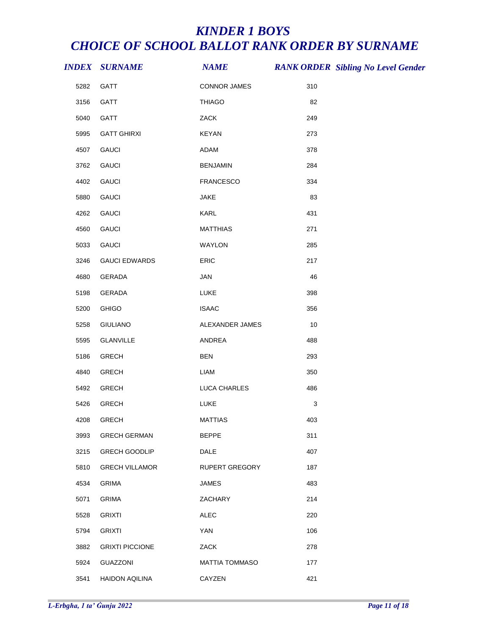|      | <b>INDEX SURNAME</b>   | <b>NAME</b>           |     | <b>RANK ORDER Sibling No Level Gender</b> |
|------|------------------------|-----------------------|-----|-------------------------------------------|
| 5282 | GATT                   | <b>CONNOR JAMES</b>   | 310 |                                           |
| 3156 | GATT                   | <b>THIAGO</b>         | 82  |                                           |
| 5040 | GATT                   | ZACK                  | 249 |                                           |
| 5995 | <b>GATT GHIRXI</b>     | <b>KEYAN</b>          | 273 |                                           |
| 4507 | <b>GAUCI</b>           | ADAM                  | 378 |                                           |
| 3762 | <b>GAUCI</b>           | <b>BENJAMIN</b>       | 284 |                                           |
| 4402 | <b>GAUCI</b>           | <b>FRANCESCO</b>      | 334 |                                           |
| 5880 | <b>GAUCI</b>           | JAKE                  | 83  |                                           |
| 4262 | <b>GAUCI</b>           | KARL                  | 431 |                                           |
| 4560 | <b>GAUCI</b>           | <b>MATTHIAS</b>       | 271 |                                           |
| 5033 | <b>GAUCI</b>           | WAYLON                | 285 |                                           |
| 3246 | <b>GAUCI EDWARDS</b>   | ERIC                  | 217 |                                           |
| 4680 | GERADA                 | JAN                   | 46  |                                           |
| 5198 | GERADA                 | LUKE                  | 398 |                                           |
| 5200 | <b>GHIGO</b>           | <b>ISAAC</b>          | 356 |                                           |
| 5258 | <b>GIULIANO</b>        | ALEXANDER JAMES       | 10  |                                           |
| 5595 | <b>GLANVILLE</b>       | ANDREA                | 488 |                                           |
| 5186 | <b>GRECH</b>           | <b>BEN</b>            | 293 |                                           |
| 4840 | <b>GRECH</b>           | LIAM                  | 350 |                                           |
| 5492 | <b>GRECH</b>           | LUCA CHARLES          | 486 |                                           |
| 5426 | <b>GRECH</b>           | LUKE                  | 3   |                                           |
| 4208 | <b>GRECH</b>           | <b>MATTIAS</b>        | 403 |                                           |
| 3993 | <b>GRECH GERMAN</b>    | <b>BEPPE</b>          | 311 |                                           |
| 3215 | <b>GRECH GOODLIP</b>   | <b>DALE</b>           | 407 |                                           |
| 5810 | <b>GRECH VILLAMOR</b>  | <b>RUPERT GREGORY</b> | 187 |                                           |
| 4534 | <b>GRIMA</b>           | <b>JAMES</b>          | 483 |                                           |
| 5071 | <b>GRIMA</b>           | ZACHARY               | 214 |                                           |
| 5528 | <b>GRIXTI</b>          | <b>ALEC</b>           | 220 |                                           |
| 5794 | <b>GRIXTI</b>          | <b>YAN</b>            | 106 |                                           |
| 3882 | <b>GRIXTI PICCIONE</b> | ZACK                  | 278 |                                           |
| 5924 | GUAZZONI               | <b>MATTIA TOMMASO</b> | 177 |                                           |
| 3541 | <b>HAIDON AQILINA</b>  | CAYZEN                | 421 |                                           |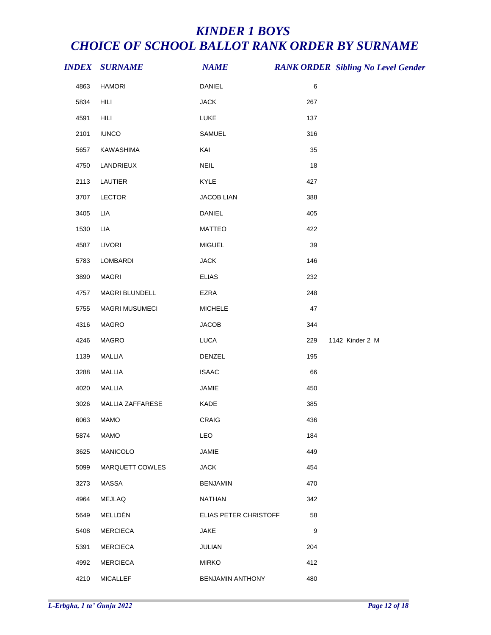|      | <b>INDEX SURNAME</b>  | <b>NAME</b>           | <b>RANK ORDER Sibling No Level Gender</b> |
|------|-----------------------|-----------------------|-------------------------------------------|
| 4863 | <b>HAMORI</b>         | DANIEL                | $\,6$                                     |
| 5834 | HILI                  | <b>JACK</b>           | 267                                       |
| 4591 | HILI                  | LUKE                  | 137                                       |
| 2101 | <b>IUNCO</b>          | SAMUEL                | 316                                       |
| 5657 | KAWASHIMA             | KAI                   | 35                                        |
| 4750 | LANDRIEUX             | <b>NEIL</b>           | 18                                        |
| 2113 | LAUTIER               | KYLE                  | 427                                       |
| 3707 | LECTOR                | <b>JACOB LIAN</b>     | 388                                       |
| 3405 | LIA                   | <b>DANIEL</b>         | 405                                       |
| 1530 | LIA                   | <b>MATTEO</b>         | 422                                       |
| 4587 | <b>LIVORI</b>         | <b>MIGUEL</b>         | 39                                        |
| 5783 | LOMBARDI              | <b>JACK</b>           | 146                                       |
| 3890 | <b>MAGRI</b>          | <b>ELIAS</b>          | 232                                       |
| 4757 | MAGRI BLUNDELL        | EZRA                  | 248                                       |
| 5755 | <b>MAGRI MUSUMECI</b> | <b>MICHELE</b>        | 47                                        |
| 4316 | <b>MAGRO</b>          | <b>JACOB</b>          | 344                                       |
| 4246 | MAGRO                 | LUCA                  | 1142 Kinder 2 M<br>229                    |
| 1139 | MALLIA                | DENZEL                | 195                                       |
| 3288 | <b>MALLIA</b>         | <b>ISAAC</b>          | 66                                        |
| 4020 | MALLIA                | JAMIE                 | 450                                       |
| 3026 | MALLIA ZAFFARESE      | KADE                  | 385                                       |
| 6063 | <b>MAMO</b>           | <b>CRAIG</b>          | 436                                       |
| 5874 | <b>MAMO</b>           | LEO                   | 184                                       |
| 3625 | MANICOLO              | JAMIE                 | 449                                       |
| 5099 | MARQUETT COWLES       | <b>JACK</b>           | 454                                       |
| 3273 | <b>MASSA</b>          | <b>BENJAMIN</b>       | 470                                       |
| 4964 | MEJLAQ                | <b>NATHAN</b>         | 342                                       |
| 5649 | MELLDÉN               | ELIAS PETER CHRISTOFF | 58                                        |
| 5408 | <b>MERCIECA</b>       | <b>JAKE</b>           | $\boldsymbol{9}$                          |
| 5391 | <b>MERCIECA</b>       | JULIAN                | 204                                       |
| 4992 | <b>MERCIECA</b>       | <b>MIRKO</b>          | 412                                       |
| 4210 | <b>MICALLEF</b>       | BENJAMIN ANTHONY      | 480                                       |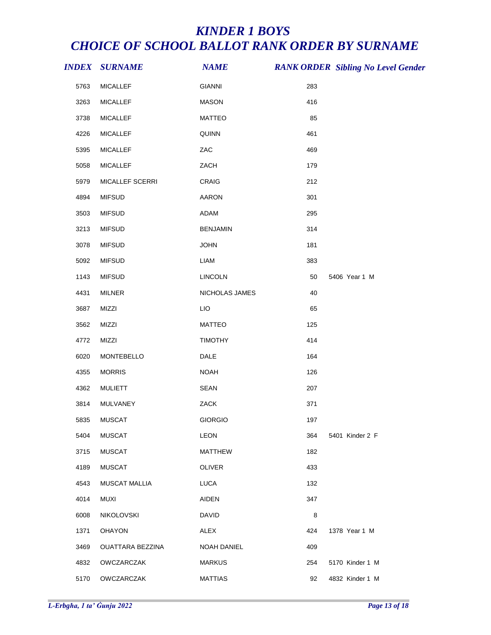|      | <b>INDEX SURNAME</b> | <b>NAME</b>        |     | <b>RANK ORDER Sibling No Level Gender</b> |
|------|----------------------|--------------------|-----|-------------------------------------------|
| 5763 | <b>MICALLEF</b>      | <b>GIANNI</b>      | 283 |                                           |
| 3263 | <b>MICALLEF</b>      | <b>MASON</b>       | 416 |                                           |
| 3738 | <b>MICALLEF</b>      | <b>MATTEO</b>      | 85  |                                           |
| 4226 | <b>MICALLEF</b>      | QUINN              | 461 |                                           |
| 5395 | <b>MICALLEF</b>      | ZAC                | 469 |                                           |
| 5058 | <b>MICALLEF</b>      | ZACH               | 179 |                                           |
| 5979 | MICALLEF SCERRI      | CRAIG              | 212 |                                           |
| 4894 | <b>MIFSUD</b>        | <b>AARON</b>       | 301 |                                           |
| 3503 | <b>MIFSUD</b>        | ADAM               | 295 |                                           |
| 3213 | <b>MIFSUD</b>        | <b>BENJAMIN</b>    | 314 |                                           |
| 3078 | <b>MIFSUD</b>        | <b>JOHN</b>        | 181 |                                           |
| 5092 | <b>MIFSUD</b>        | LIAM               | 383 |                                           |
| 1143 | <b>MIFSUD</b>        | <b>LINCOLN</b>     | 50  | 5406 Year 1 M                             |
| 4431 | MILNER               | NICHOLAS JAMES     | 40  |                                           |
| 3687 | MIZZI                | <b>LIO</b>         | 65  |                                           |
| 3562 | MIZZI                | <b>MATTEO</b>      | 125 |                                           |
| 4772 | MIZZI                | <b>TIMOTHY</b>     | 414 |                                           |
| 6020 | MONTEBELLO           | DALE               | 164 |                                           |
| 4355 | <b>MORRIS</b>        | <b>NOAH</b>        | 126 |                                           |
| 4362 | <b>MULIETT</b>       | SEAN               | 207 |                                           |
| 3814 | MULVANEY             | ZACK               | 371 |                                           |
| 5835 | MUSCAT               | <b>GIORGIO</b>     | 197 |                                           |
| 5404 | <b>MUSCAT</b>        | <b>LEON</b>        | 364 | 5401 Kinder 2 F                           |
| 3715 | <b>MUSCAT</b>        | <b>MATTHEW</b>     | 182 |                                           |
| 4189 | <b>MUSCAT</b>        | <b>OLIVER</b>      | 433 |                                           |
| 4543 | <b>MUSCAT MALLIA</b> | <b>LUCA</b>        | 132 |                                           |
| 4014 | <b>MUXI</b>          | <b>AIDEN</b>       | 347 |                                           |
| 6008 | NIKOLOVSKI           | <b>DAVID</b>       | 8   |                                           |
| 1371 | <b>OHAYON</b>        | ALEX               | 424 | 1378 Year 1 M                             |
| 3469 | OUATTARA BEZZINA     | <b>NOAH DANIEL</b> | 409 |                                           |
| 4832 | OWCZARCZAK           | <b>MARKUS</b>      | 254 | 5170 Kinder 1 M                           |
| 5170 | OWCZARCZAK           | <b>MATTIAS</b>     | 92  | 4832 Kinder 1 M                           |
|      |                      |                    |     |                                           |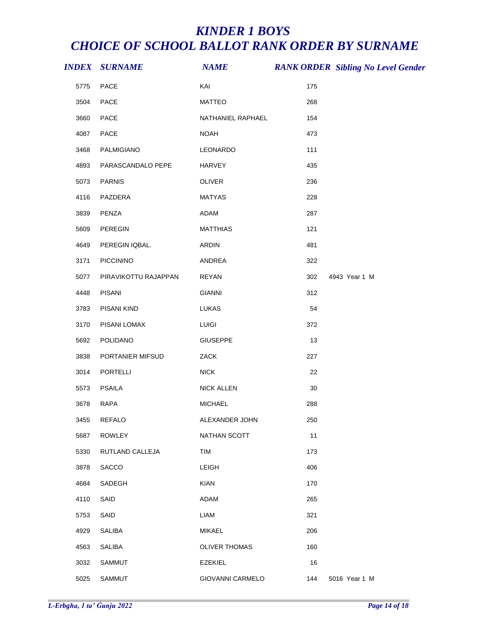|      | <b>INDEX SURNAME</b> | <b>NAME</b>          |     | <b>RANK ORDER Sibling No Level Gender</b> |
|------|----------------------|----------------------|-----|-------------------------------------------|
| 5775 | PACE                 | KAI                  | 175 |                                           |
| 3504 | PACE                 | <b>MATTEO</b>        | 268 |                                           |
| 3660 | PACE                 | NATHANIEL RAPHAEL    | 154 |                                           |
| 4087 | PACE                 | <b>NOAH</b>          | 473 |                                           |
| 3468 | PALMIGIANO           | LEONARDO             | 111 |                                           |
| 4893 | PARASCANDALO PEPE    | <b>HARVEY</b>        | 435 |                                           |
| 5073 | <b>PARNIS</b>        | OLIVER               | 236 |                                           |
| 4116 | PAZDERA              | <b>MATYAS</b>        | 228 |                                           |
| 3839 | PENZA                | ADAM                 | 287 |                                           |
| 5609 | PEREGIN              | <b>MATTHIAS</b>      | 121 |                                           |
| 4649 | PEREGIN IQBAL.       | <b>ARDIN</b>         | 481 |                                           |
| 3171 | PICCININO            | ANDREA               | 322 |                                           |
| 5077 | PIRAVIKOTTU RAJAPPAN | <b>REYAN</b>         | 302 | 4943 Year 1 M                             |
| 4448 | <b>PISANI</b>        | <b>GIANNI</b>        | 312 |                                           |
| 3783 | PISANI KIND          | LUKAS                | 54  |                                           |
| 3170 | PISANI LOMAX         | <b>LUIGI</b>         | 372 |                                           |
| 5692 | POLIDANO             | <b>GIUSEPPE</b>      | 13  |                                           |
| 3838 | PORTANIER MIFSUD     | ZACK                 | 227 |                                           |
| 3014 | <b>PORTELLI</b>      | <b>NICK</b>          | 22  |                                           |
| 5573 | <b>PSAILA</b>        | <b>NICK ALLEN</b>    | 30  |                                           |
| 3678 | RAPA                 | <b>MICHAEL</b>       | 288 |                                           |
| 3455 | REFALO               | ALEXANDER JOHN       | 250 |                                           |
| 5687 | <b>ROWLEY</b>        | NATHAN SCOTT         | 11  |                                           |
| 5330 | RUTLAND CALLEJA      | TIM                  | 173 |                                           |
| 3878 | <b>SACCO</b>         | <b>LEIGH</b>         | 406 |                                           |
| 4684 | SADEGH               | <b>KIAN</b>          | 170 |                                           |
| 4110 | SAID                 | <b>ADAM</b>          | 265 |                                           |
| 5753 | SAID                 | <b>LIAM</b>          | 321 |                                           |
| 4929 | <b>SALIBA</b>        | <b>MIKAEL</b>        | 206 |                                           |
| 4563 | <b>SALIBA</b>        | <b>OLIVER THOMAS</b> | 160 |                                           |
| 3032 | <b>SAMMUT</b>        | <b>EZEKIEL</b>       | 16  |                                           |
| 5025 | SAMMUT               | GIOVANNI CARMELO     | 144 | 5016 Year 1 M                             |
|      |                      |                      |     |                                           |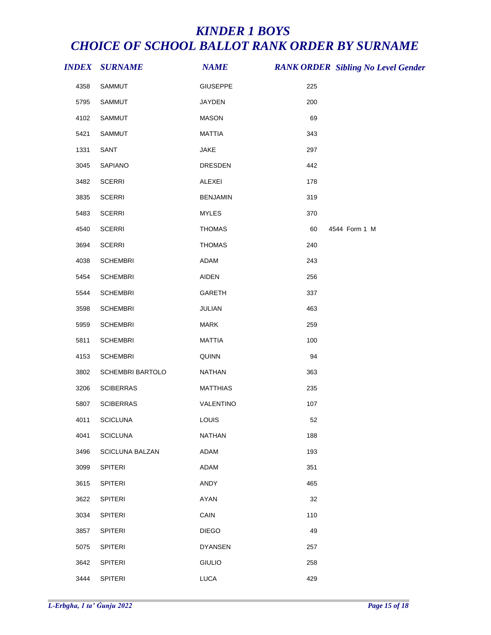|      | <b>INDEX SURNAME</b> | <b>NAME</b>     |     | <b>RANK ORDER Sibling No Level Gender</b> |
|------|----------------------|-----------------|-----|-------------------------------------------|
| 4358 | SAMMUT               | <b>GIUSEPPE</b> | 225 |                                           |
| 5795 | SAMMUT               | <b>JAYDEN</b>   | 200 |                                           |
| 4102 | SAMMUT               | <b>MASON</b>    | 69  |                                           |
| 5421 | SAMMUT               | <b>MATTIA</b>   | 343 |                                           |
| 1331 | SANT                 | JAKE            | 297 |                                           |
| 3045 | SAPIANO              | DRESDEN         | 442 |                                           |
| 3482 | <b>SCERRI</b>        | ALEXEI          | 178 |                                           |
| 3835 | <b>SCERRI</b>        | <b>BENJAMIN</b> | 319 |                                           |
| 5483 | <b>SCERRI</b>        | <b>MYLES</b>    | 370 |                                           |
| 4540 | <b>SCERRI</b>        | <b>THOMAS</b>   | 60  | 4544 Form 1 M                             |
| 3694 | <b>SCERRI</b>        | <b>THOMAS</b>   | 240 |                                           |
| 4038 | <b>SCHEMBRI</b>      | ADAM            | 243 |                                           |
| 5454 | <b>SCHEMBRI</b>      | <b>AIDEN</b>    | 256 |                                           |
| 5544 | <b>SCHEMBRI</b>      | GARETH          | 337 |                                           |
| 3598 | <b>SCHEMBRI</b>      | JULIAN          | 463 |                                           |
| 5959 | <b>SCHEMBRI</b>      | MARK            | 259 |                                           |
| 5811 | <b>SCHEMBRI</b>      | <b>MATTIA</b>   | 100 |                                           |
| 4153 | <b>SCHEMBRI</b>      | QUINN           | 94  |                                           |
| 3802 | SCHEMBRI BARTOLO     | NATHAN          | 363 |                                           |
| 3206 | <b>SCIBERRAS</b>     | <b>MATTHIAS</b> | 235 |                                           |
| 5807 | <b>SCIBERRAS</b>     | VALENTINO       | 107 |                                           |
| 4011 | <b>SCICLUNA</b>      | LOUIS           | 52  |                                           |
| 4041 | <b>SCICLUNA</b>      | <b>NATHAN</b>   | 188 |                                           |
| 3496 | SCICLUNA BALZAN      | ADAM            | 193 |                                           |
| 3099 | <b>SPITERI</b>       | <b>ADAM</b>     | 351 |                                           |
| 3615 | SPITERI              | ANDY            | 465 |                                           |
| 3622 | <b>SPITERI</b>       | <b>AYAN</b>     | 32  |                                           |
| 3034 | <b>SPITERI</b>       | CAIN            | 110 |                                           |
| 3857 | <b>SPITERI</b>       | <b>DIEGO</b>    | 49  |                                           |
| 5075 | <b>SPITERI</b>       | <b>DYANSEN</b>  | 257 |                                           |
| 3642 | <b>SPITERI</b>       | <b>GIULIO</b>   | 258 |                                           |
| 3444 | SPITERI              | LUCA            | 429 |                                           |
|      |                      |                 |     |                                           |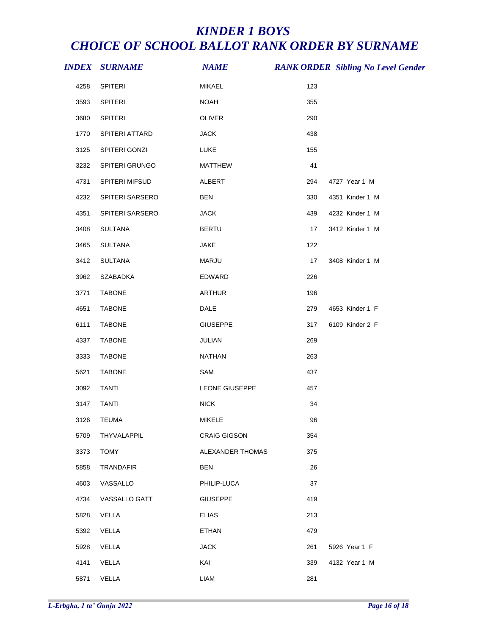|      | <i><b>INDEX SURNAME</b></i> | <b>NAME</b>         |     | <b>RANK ORDER Sibling No Level Gender</b> |
|------|-----------------------------|---------------------|-----|-------------------------------------------|
| 4258 | SPITERI                     | MIKAEL              | 123 |                                           |
| 3593 | SPITERI                     | <b>NOAH</b>         | 355 |                                           |
| 3680 | <b>SPITERI</b>              | OLIVER              | 290 |                                           |
| 1770 | SPITERI ATTARD              | <b>JACK</b>         | 438 |                                           |
| 3125 | SPITERI GONZI               | LUKE                | 155 |                                           |
| 3232 | SPITERI GRUNGO              | MATTHEW             | 41  |                                           |
| 4731 | SPITERI MIFSUD              | ALBERT              | 294 | 4727 Year 1 M                             |
| 4232 | SPITERI SARSERO             | <b>BEN</b>          | 330 | 4351 Kinder 1 M                           |
| 4351 | SPITERI SARSERO             | <b>JACK</b>         | 439 | 4232 Kinder 1 M                           |
| 3408 | SULTANA                     | <b>BERTU</b>        | 17  | 3412 Kinder 1 M                           |
| 3465 | <b>SULTANA</b>              | <b>JAKE</b>         | 122 |                                           |
| 3412 | <b>SULTANA</b>              | MARJU               | 17  | 3408 Kinder 1 M                           |
| 3962 | SZABADKA                    | EDWARD              | 226 |                                           |
| 3771 | <b>TABONE</b>               | <b>ARTHUR</b>       | 196 |                                           |
| 4651 | TABONE                      | DALE                | 279 | 4653 Kinder 1 F                           |
| 6111 | <b>TABONE</b>               | <b>GIUSEPPE</b>     | 317 | 6109 Kinder 2 F                           |
| 4337 | <b>TABONE</b>               | JULIAN              | 269 |                                           |
| 3333 | <b>TABONE</b>               | NATHAN              | 263 |                                           |
| 5621 | <b>TABONE</b>               | SAM                 | 437 |                                           |
| 3092 | <b>TANTI</b>                | LEONE GIUSEPPE      | 457 |                                           |
| 3147 | <b>TANTI</b>                | <b>NICK</b>         | 34  |                                           |
|      | 3126 TEUMA                  | MIKELE              | 96  |                                           |
| 5709 | THYVALAPPIL                 | <b>CRAIG GIGSON</b> | 354 |                                           |
| 3373 | <b>TOMY</b>                 | ALEXANDER THOMAS    | 375 |                                           |
| 5858 | TRANDAFIR                   | <b>BEN</b>          | 26  |                                           |
| 4603 | VASSALLO                    | PHILIP-LUCA         | 37  |                                           |
| 4734 | VASSALLO GATT               | <b>GIUSEPPE</b>     | 419 |                                           |
| 5828 | VELLA                       | <b>ELIAS</b>        | 213 |                                           |
| 5392 | VELLA                       | <b>ETHAN</b>        | 479 |                                           |
| 5928 | VELLA                       | <b>JACK</b>         | 261 | 5926 Year 1 F                             |
| 4141 | VELLA                       | KAI                 | 339 | 4132 Year 1 M                             |
| 5871 | VELLA                       | LIAM                | 281 |                                           |
|      |                             |                     |     |                                           |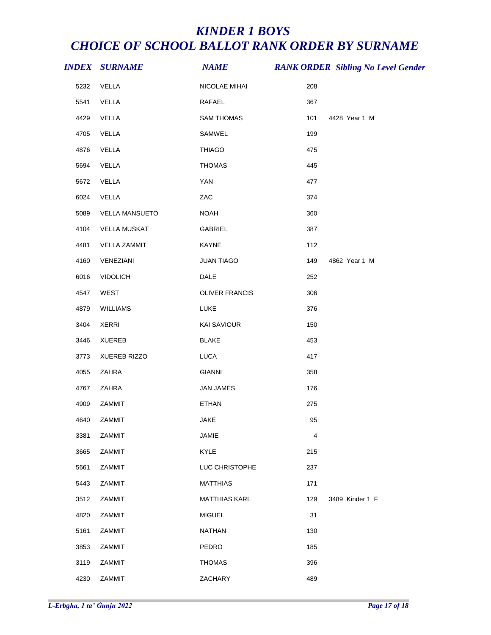|      | <b>INDEX SURNAME</b>  | <b>NAME</b>          |                | <b>RANK ORDER Sibling No Level Gender</b> |
|------|-----------------------|----------------------|----------------|-------------------------------------------|
| 5232 | VELLA                 | NICOLAE MIHAI        | 208            |                                           |
| 5541 | VELLA                 | RAFAEL               | 367            |                                           |
| 4429 | VELLA                 | <b>SAM THOMAS</b>    | 101            | 4428 Year 1 M                             |
| 4705 | VELLA                 | SAMWEL               | 199            |                                           |
| 4876 | VELLA                 | <b>THIAGO</b>        | 475            |                                           |
| 5694 | VELLA                 | <b>THOMAS</b>        | 445            |                                           |
| 5672 | VELLA                 | YAN                  | 477            |                                           |
| 6024 | VELLA                 | ZAC                  | 374            |                                           |
| 5089 | <b>VELLA MANSUETO</b> | <b>NOAH</b>          | 360            |                                           |
| 4104 | <b>VELLA MUSKAT</b>   | GABRIEL              | 387            |                                           |
| 4481 | <b>VELLA ZAMMIT</b>   | KAYNE                | 112            |                                           |
| 4160 | VENEZIANI             | <b>JUAN TIAGO</b>    | 149            | 4862 Year 1 M                             |
| 6016 | <b>VIDOLICH</b>       | DALE                 | 252            |                                           |
| 4547 | WEST                  | OLIVER FRANCIS       | 306            |                                           |
| 4879 | <b>WILLIAMS</b>       | LUKE                 | 376            |                                           |
| 3404 | <b>XERRI</b>          | <b>KAI SAVIOUR</b>   | 150            |                                           |
| 3446 | <b>XUEREB</b>         | <b>BLAKE</b>         | 453            |                                           |
| 3773 | <b>XUEREB RIZZO</b>   | <b>LUCA</b>          | 417            |                                           |
| 4055 | ZAHRA                 | <b>GIANNI</b>        | 358            |                                           |
| 4767 | ZAHRA                 | <b>JAN JAMES</b>     | 176            |                                           |
| 4909 | ZAMMIT                | <b>ETHAN</b>         | 275            |                                           |
| 4640 | ZAMMIT                | JAKE                 | 95             |                                           |
| 3381 | ZAMMIT                | <b>JAMIE</b>         | $\overline{4}$ |                                           |
| 3665 | ZAMMIT                | KYLE                 | 215            |                                           |
| 5661 | ZAMMIT                | LUC CHRISTOPHE       | 237            |                                           |
| 5443 | ZAMMIT                | <b>MATTHIAS</b>      | 171            |                                           |
| 3512 | ZAMMIT                | <b>MATTHIAS KARL</b> | 129            | 3489 Kinder 1 F                           |
| 4820 | ZAMMIT                | <b>MIGUEL</b>        | 31             |                                           |
| 5161 | ZAMMIT                | <b>NATHAN</b>        | 130            |                                           |
| 3853 | ZAMMIT                | PEDRO                | 185            |                                           |
| 3119 | ZAMMIT                | <b>THOMAS</b>        | 396            |                                           |
| 4230 | ZAMMIT                | ZACHARY              | 489            |                                           |